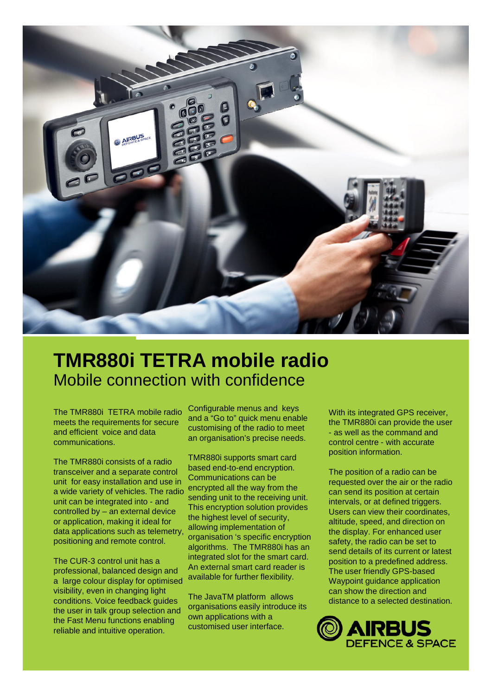

# **TMR880i TETRA mobile radio** Mobile connection with confidence

The TMR880i TETRA mobile radio meets the requirements for secure and efficient voice and data communications.

The TMR880i consists of a radio transceiver and a separate control unit for easy installation and use in a wide variety of vehicles. The radio unit can be integrated into - and controlled by – an external device or application, making it ideal for data applications such as telemetry, positioning and remote control.

The CUR-3 control unit has a professional, balanced design and a large colour display for optimised visibility, even in changing light conditions. Voice feedback guides the user in talk group selection and the Fast Menu functions enabling reliable and intuitive operation.

Configurable menus and keys and a "Go to" quick menu enable customising of the radio to meet an organisation's precise needs.

TMR880i supports smart card based end-to-end encryption. Communications can be encrypted all the way from the sending unit to the receiving unit. This encryption solution provides the highest level of security, allowing implementation of organisation 's specific encryption algorithms. The TMR880i has an integrated slot for the smart card. An external smart card reader is available for further flexibility.

The JavaTM platform allows organisations easily introduce its own applications with a customised user interface.

With its integrated GPS receiver, the TMR880i can provide the user - as well as the command and control centre - with accurate position information.

The position of a radio can be requested over the air or the radio can send its position at certain intervals, or at defined triggers. Users can view their coordinates, altitude, speed, and direction on the display. For enhanced user safety, the radio can be set to send details of its current or latest position to a predefined address. The user friendly GPS-based Waypoint guidance application can show the direction and distance to a selected destination.